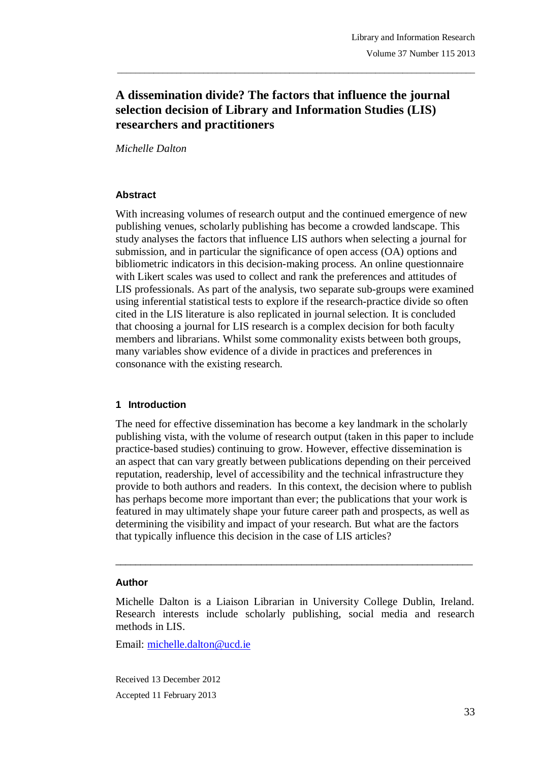# **A dissemination divide? The factors that influence the journal selection decision of Library and Information Studies (LIS) researchers and practitioners**

\_\_\_\_\_\_\_\_\_\_\_\_\_\_\_\_\_\_\_\_\_\_\_\_\_\_\_\_\_\_\_\_\_\_\_\_\_\_\_\_\_\_\_\_\_\_\_\_\_\_\_\_\_\_\_\_\_\_\_\_\_\_\_\_\_\_\_\_\_\_\_\_\_\_\_\_\_\_\_

*Michelle Dalton*

#### **Abstract**

With increasing volumes of research output and the continued emergence of new publishing venues, scholarly publishing has become a crowded landscape. This study analyses the factors that influence LIS authors when selecting a journal for submission, and in particular the significance of open access (OA) options and bibliometric indicators in this decision-making process. An online questionnaire with Likert scales was used to collect and rank the preferences and attitudes of LIS professionals. As part of the analysis, two separate sub-groups were examined using inferential statistical tests to explore if the research-practice divide so often cited in the LIS literature is also replicated in journal selection. It is concluded that choosing a journal for LIS research is a complex decision for both faculty members and librarians. Whilst some commonality exists between both groups, many variables show evidence of a divide in practices and preferences in consonance with the existing research.

## **1 Introduction**

The need for effective dissemination has become a key landmark in the scholarly publishing vista, with the volume of research output (taken in this paper to include practice-based studies) continuing to grow. However, effective dissemination is an aspect that can vary greatly between publications depending on their perceived reputation, readership, level of accessibility and the technical infrastructure they provide to both authors and readers. In this context, the decision where to publish has perhaps become more important than ever; the publications that your work is featured in may ultimately shape your future career path and prospects, as well as determining the visibility and impact of your research. But what are the factors that typically influence this decision in the case of LIS articles?

#### **Author**

Michelle Dalton is a Liaison Librarian in University College Dublin, Ireland. Research interests include scholarly publishing, social media and research methods in LIS.

 $\_$  ,  $\_$  ,  $\_$  ,  $\_$  ,  $\_$  ,  $\_$  ,  $\_$  ,  $\_$  ,  $\_$  ,  $\_$  ,  $\_$  ,  $\_$  ,  $\_$  ,  $\_$  ,  $\_$  ,  $\_$  ,  $\_$  ,  $\_$  ,  $\_$ 

Email: michelle.dalton@ucd.ie

Received 13 December 2012 Accepted 11 February 2013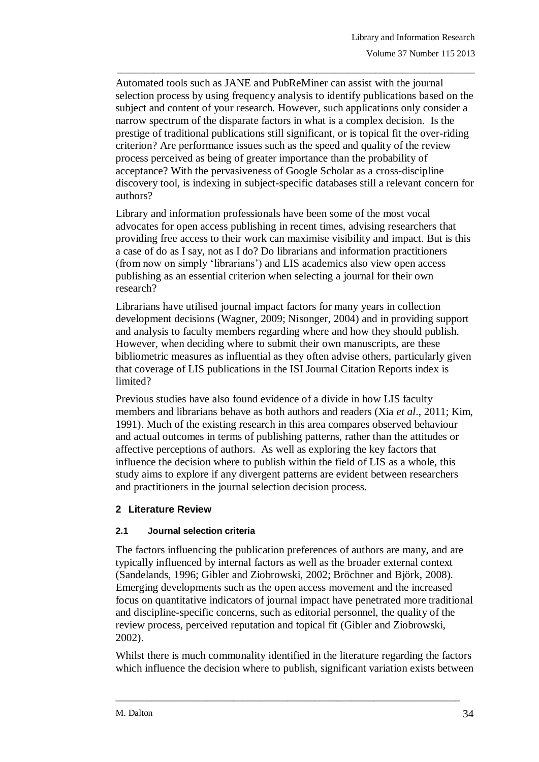Automated tools such as JANE and PubReMiner can assist with the journal selection process by using frequency analysis to identify publications based on the subject and content of your research. However, such applications only consider a narrow spectrum of the disparate factors in what is a complex decision. Is the prestige of traditional publications still significant, or is topical fit the over-riding criterion? Are performance issues such as the speed and quality of the review process perceived as being of greater importance than the probability of acceptance? With the pervasiveness of Google Scholar as a cross-discipline discovery tool, is indexing in subject-specific databases still a relevant concern for authors?

\_\_\_\_\_\_\_\_\_\_\_\_\_\_\_\_\_\_\_\_\_\_\_\_\_\_\_\_\_\_\_\_\_\_\_\_\_\_\_\_\_\_\_\_\_\_\_\_\_\_\_\_\_\_\_\_\_\_\_\_\_\_\_\_\_\_\_\_\_\_\_\_\_\_\_\_\_\_\_

Library and information professionals have been some of the most vocal advocates for open access publishing in recent times, advising researchers that providing free access to their work can maximise visibility and impact. But is this a case of do as I say, not as I do? Do librarians and information practitioners (from now on simply "librarians") and LIS academics also view open access publishing as an essential criterion when selecting a journal for their own research?

Librarians have utilised journal impact factors for many years in collection development decisions (Wagner, 2009; Nisonger, 2004) and in providing support and analysis to faculty members regarding where and how they should publish. However, when deciding where to submit their own manuscripts, are these bibliometric measures as influential as they often advise others, particularly given that coverage of LIS publications in the ISI Journal Citation Reports index is limited?

Previous studies have also found evidence of a divide in how LIS faculty members and librarians behave as both authors and readers (Xia *et al*., 2011; Kim, 1991). Much of the existing research in this area compares observed behaviour and actual outcomes in terms of publishing patterns, rather than the attitudes or affective perceptions of authors. As well as exploring the key factors that influence the decision where to publish within the field of LIS as a whole, this study aims to explore if any divergent patterns are evident between researchers and practitioners in the journal selection decision process.

## **2 Literature Review**

## **2.1 Journal selection criteria**

The factors influencing the publication preferences of authors are many, and are typically influenced by internal factors as well as the broader external context (Sandelands, 1996; Gibler and Ziobrowski, 2002; Bröchner and Björk, 2008). Emerging developments such as the open access movement and the increased focus on quantitative indicators of journal impact have penetrated more traditional and discipline-specific concerns, such as editorial personnel, the quality of the review process, perceived reputation and topical fit (Gibler and Ziobrowski, 2002).

Whilst there is much commonality identified in the literature regarding the factors which influence the decision where to publish, significant variation exists between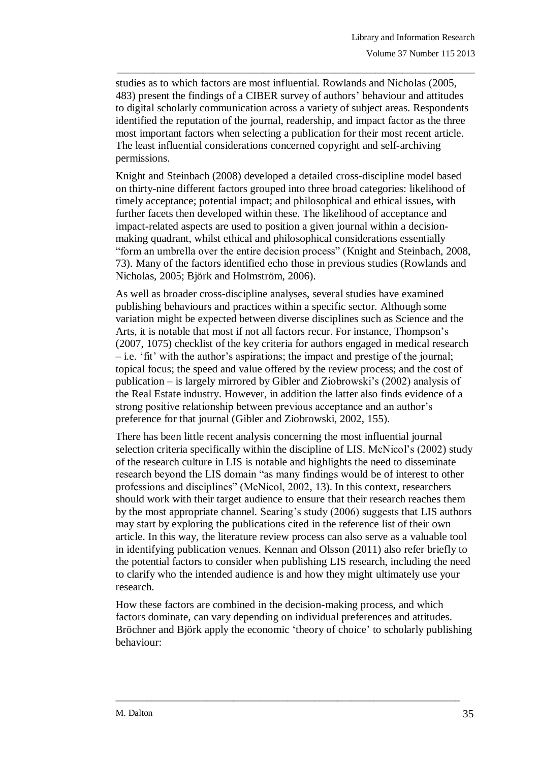studies as to which factors are most influential. Rowlands and Nicholas (2005, 483) present the findings of a CIBER survey of authors" behaviour and attitudes to digital scholarly communication across a variety of subject areas. Respondents identified the reputation of the journal, readership, and impact factor as the three most important factors when selecting a publication for their most recent article. The least influential considerations concerned copyright and self-archiving permissions.

\_\_\_\_\_\_\_\_\_\_\_\_\_\_\_\_\_\_\_\_\_\_\_\_\_\_\_\_\_\_\_\_\_\_\_\_\_\_\_\_\_\_\_\_\_\_\_\_\_\_\_\_\_\_\_\_\_\_\_\_\_\_\_\_\_\_\_\_\_\_\_\_\_\_\_\_\_\_\_

Knight and Steinbach (2008) developed a detailed cross-discipline model based on thirty-nine different factors grouped into three broad categories: likelihood of timely acceptance; potential impact; and philosophical and ethical issues, with further facets then developed within these. The likelihood of acceptance and impact-related aspects are used to position a given journal within a decisionmaking quadrant, whilst ethical and philosophical considerations essentially "form an umbrella over the entire decision process" (Knight and Steinbach, 2008, 73). Many of the factors identified echo those in previous studies (Rowlands and Nicholas, 2005; Björk and Holmström, 2006).

As well as broader cross-discipline analyses, several studies have examined publishing behaviours and practices within a specific sector. Although some variation might be expected between diverse disciplines such as Science and the Arts, it is notable that most if not all factors recur. For instance, Thompson"s (2007, 1075) checklist of the key criteria for authors engaged in medical research  $-$  i.e. 'fit' with the author's aspirations; the impact and prestige of the journal; topical focus; the speed and value offered by the review process; and the cost of publication – is largely mirrored by Gibler and Ziobrowski"s (2002) analysis of the Real Estate industry. However, in addition the latter also finds evidence of a strong positive relationship between previous acceptance and an author"s preference for that journal (Gibler and Ziobrowski, 2002, 155).

There has been little recent analysis concerning the most influential journal selection criteria specifically within the discipline of LIS. McNicol"s (2002) study of the research culture in LIS is notable and highlights the need to disseminate research beyond the LIS domain "as many findings would be of interest to other professions and disciplines" (McNicol, 2002, 13). In this context, researchers should work with their target audience to ensure that their research reaches them by the most appropriate channel. Searing"s study (2006) suggests that LIS authors may start by exploring the publications cited in the reference list of their own article. In this way, the literature review process can also serve as a valuable tool in identifying publication venues. Kennan and Olsson (2011) also refer briefly to the potential factors to consider when publishing LIS research, including the need to clarify who the intended audience is and how they might ultimately use your research.

How these factors are combined in the decision-making process, and which factors dominate, can vary depending on individual preferences and attitudes. Bröchner and Björk apply the economic "theory of choice" to scholarly publishing behaviour: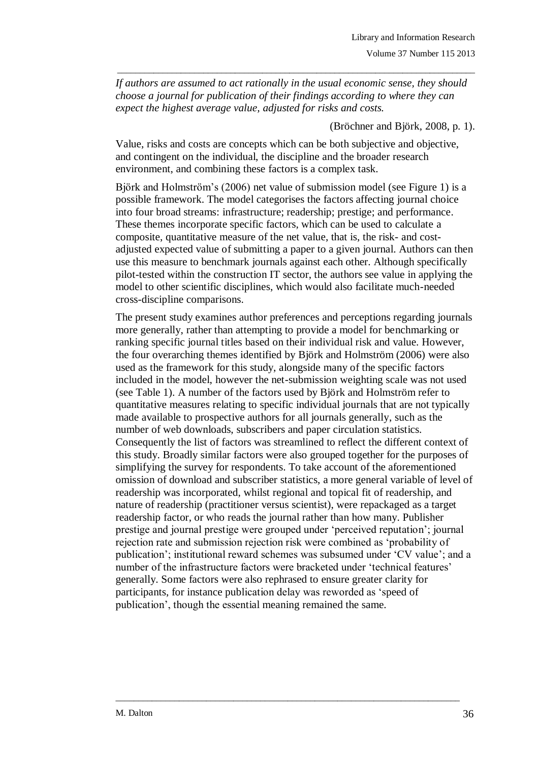*If authors are assumed to act rationally in the usual economic sense, they should choose a journal for publication of their findings according to where they can expect the highest average value, adjusted for risks and costs.*

\_\_\_\_\_\_\_\_\_\_\_\_\_\_\_\_\_\_\_\_\_\_\_\_\_\_\_\_\_\_\_\_\_\_\_\_\_\_\_\_\_\_\_\_\_\_\_\_\_\_\_\_\_\_\_\_\_\_\_\_\_\_\_\_\_\_\_\_\_\_\_\_\_\_\_\_\_\_\_

(Bröchner and Björk, 2008, p. 1).

Value, risks and costs are concepts which can be both subjective and objective, and contingent on the individual, the discipline and the broader research environment, and combining these factors is a complex task.

Björk and Holmström"s (2006) net value of submission model (see Figure 1) is a possible framework. The model categorises the factors affecting journal choice into four broad streams: infrastructure; readership; prestige; and performance. These themes incorporate specific factors, which can be used to calculate a composite, quantitative measure of the net value, that is, the risk- and costadjusted expected value of submitting a paper to a given journal. Authors can then use this measure to benchmark journals against each other. Although specifically pilot-tested within the construction IT sector, the authors see value in applying the model to other scientific disciplines, which would also facilitate much-needed cross-discipline comparisons.

The present study examines author preferences and perceptions regarding journals more generally, rather than attempting to provide a model for benchmarking or ranking specific journal titles based on their individual risk and value. However, the four overarching themes identified by Björk and Holmström (2006) were also used as the framework for this study, alongside many of the specific factors included in the model, however the net-submission weighting scale was not used (see Table 1). A number of the factors used by Björk and Holmström refer to quantitative measures relating to specific individual journals that are not typically made available to prospective authors for all journals generally, such as the number of web downloads, subscribers and paper circulation statistics. Consequently the list of factors was streamlined to reflect the different context of this study. Broadly similar factors were also grouped together for the purposes of simplifying the survey for respondents. To take account of the aforementioned omission of download and subscriber statistics, a more general variable of level of readership was incorporated, whilst regional and topical fit of readership, and nature of readership (practitioner versus scientist), were repackaged as a target readership factor, or who reads the journal rather than how many. Publisher prestige and journal prestige were grouped under "perceived reputation"; journal rejection rate and submission rejection risk were combined as "probability of publication"; institutional reward schemes was subsumed under "CV value"; and a number of the infrastructure factors were bracketed under 'technical features' generally. Some factors were also rephrased to ensure greater clarity for participants, for instance publication delay was reworded as "speed of publication", though the essential meaning remained the same.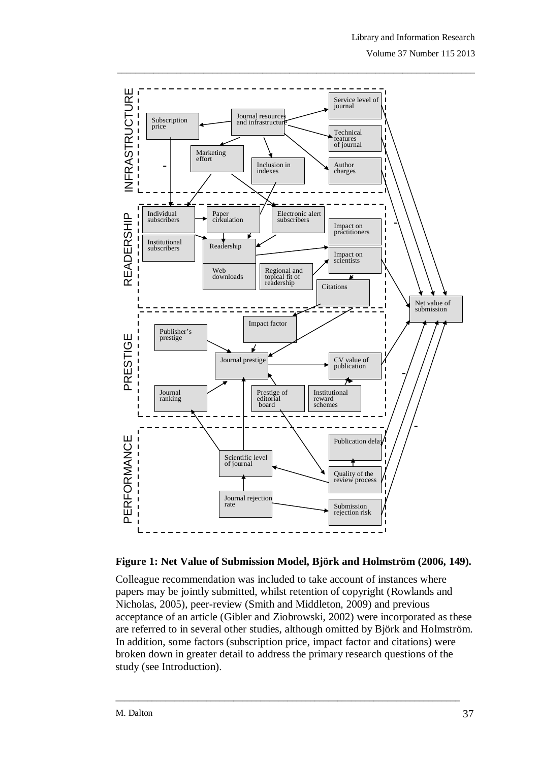

## **Figure 1: Net Value of Submission Model, Björk and Holmström (2006, 149).**

Colleague recommendation was included to take account of instances where papers may be jointly submitted, whilst retention of copyright (Rowlands and Nicholas, 2005), peer-review (Smith and Middleton, 2009) and previous acceptance of an article (Gibler and Ziobrowski, 2002) were incorporated as these are referred to in several other studies, although omitted by Björk and Holmström. In addition, some factors (subscription price, impact factor and citations) were broken down in greater detail to address the primary research questions of the study (see Introduction).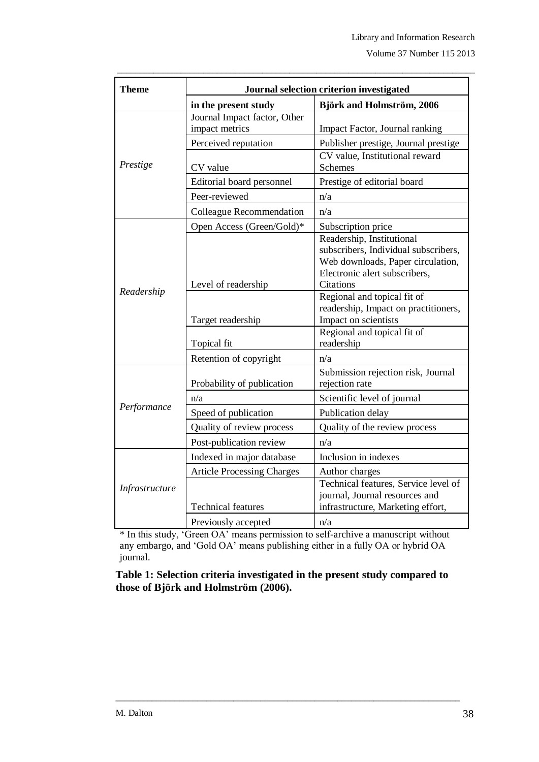| <b>Theme</b>   | Journal selection criterion investigated       |                                                                                                                                                             |  |  |  |  |
|----------------|------------------------------------------------|-------------------------------------------------------------------------------------------------------------------------------------------------------------|--|--|--|--|
|                | in the present study                           | <b>Björk and Holmström, 2006</b>                                                                                                                            |  |  |  |  |
|                | Journal Impact factor, Other<br>impact metrics | Impact Factor, Journal ranking                                                                                                                              |  |  |  |  |
| Prestige       | Perceived reputation                           | Publisher prestige, Journal prestige                                                                                                                        |  |  |  |  |
|                | CV value                                       | CV value, Institutional reward<br><b>Schemes</b>                                                                                                            |  |  |  |  |
|                | Editorial board personnel                      | Prestige of editorial board                                                                                                                                 |  |  |  |  |
|                | Peer-reviewed                                  | n/a                                                                                                                                                         |  |  |  |  |
|                | Colleague Recommendation                       | n/a                                                                                                                                                         |  |  |  |  |
|                | Open Access (Green/Gold)*                      | Subscription price                                                                                                                                          |  |  |  |  |
| Readership     | Level of readership                            | Readership, Institutional<br>subscribers, Individual subscribers,<br>Web downloads, Paper circulation,<br>Electronic alert subscribers,<br><b>Citations</b> |  |  |  |  |
|                | Target readership                              | Regional and topical fit of<br>readership, Impact on practitioners,<br>Impact on scientists                                                                 |  |  |  |  |
|                | Topical fit                                    | Regional and topical fit of<br>readership                                                                                                                   |  |  |  |  |
|                | Retention of copyright                         | n/a                                                                                                                                                         |  |  |  |  |
|                | Probability of publication                     | Submission rejection risk, Journal<br>rejection rate                                                                                                        |  |  |  |  |
|                | n/a                                            | Scientific level of journal                                                                                                                                 |  |  |  |  |
| Performance    | Speed of publication                           | Publication delay                                                                                                                                           |  |  |  |  |
|                | Quality of review process                      | Quality of the review process                                                                                                                               |  |  |  |  |
|                | Post-publication review                        | n/a                                                                                                                                                         |  |  |  |  |
|                | Indexed in major database                      | Inclusion in indexes                                                                                                                                        |  |  |  |  |
|                | <b>Article Processing Charges</b>              | Author charges                                                                                                                                              |  |  |  |  |
| Infrastructure | <b>Technical features</b>                      | Technical features, Service level of<br>journal, Journal resources and<br>infrastructure, Marketing effort,                                                 |  |  |  |  |
|                | Previously accepted                            | n/a                                                                                                                                                         |  |  |  |  |

\_\_\_\_\_\_\_\_\_\_\_\_\_\_\_\_\_\_\_\_\_\_\_\_\_\_\_\_\_\_\_\_\_\_\_\_\_\_\_\_\_\_\_\_\_\_\_\_\_\_\_\_\_\_\_\_\_\_\_\_\_\_\_\_\_\_\_\_\_\_\_\_\_\_\_\_\_\_\_

\* In this study, "Green OA" means permission to self-archive a manuscript without any embargo, and "Gold OA" means publishing either in a fully OA or hybrid OA journal.

**Table 1: Selection criteria investigated in the present study compared to those of Björk and Holmström (2006).**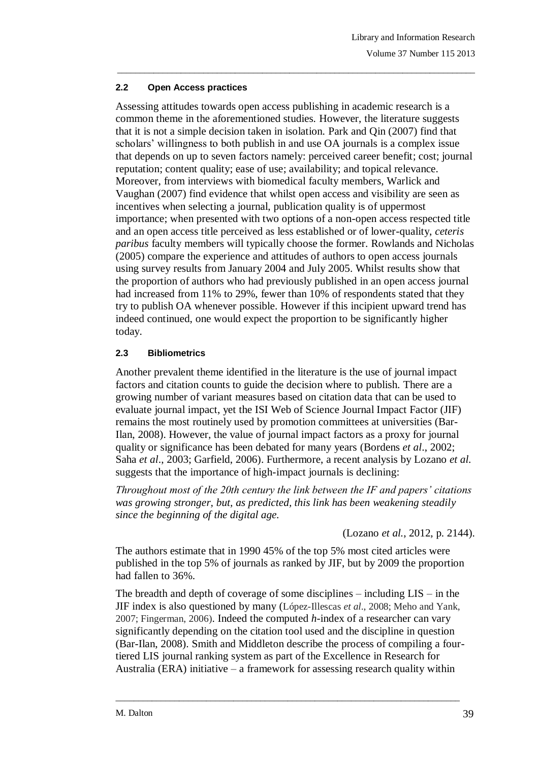## **2.2 Open Access practices**

Assessing attitudes towards open access publishing in academic research is a common theme in the aforementioned studies. However, the literature suggests that it is not a simple decision taken in isolation. Park and Qin (2007) find that scholars' willingness to both publish in and use OA journals is a complex issue that depends on up to seven factors namely: perceived career benefit; cost; journal reputation; content quality; ease of use; availability; and topical relevance. Moreover, from interviews with biomedical faculty members, Warlick and Vaughan (2007) find evidence that whilst open access and visibility are seen as incentives when selecting a journal, publication quality is of uppermost importance; when presented with two options of a non-open access respected title and an open access title perceived as less established or of lower-quality, *ceteris paribus* faculty members will typically choose the former. Rowlands and Nicholas (2005) compare the experience and attitudes of authors to open access journals using survey results from January 2004 and July 2005. Whilst results show that the proportion of authors who had previously published in an open access journal had increased from 11% to 29%, fewer than 10% of respondents stated that they try to publish OA whenever possible. However if this incipient upward trend has indeed continued, one would expect the proportion to be significantly higher today.

\_\_\_\_\_\_\_\_\_\_\_\_\_\_\_\_\_\_\_\_\_\_\_\_\_\_\_\_\_\_\_\_\_\_\_\_\_\_\_\_\_\_\_\_\_\_\_\_\_\_\_\_\_\_\_\_\_\_\_\_\_\_\_\_\_\_\_\_\_\_\_\_\_\_\_\_\_\_\_

## **2.3 Bibliometrics**

Another prevalent theme identified in the literature is the use of journal impact factors and citation counts to guide the decision where to publish. There are a growing number of variant measures based on citation data that can be used to evaluate journal impact, yet the ISI Web of Science Journal Impact Factor (JIF) remains the most routinely used by promotion committees at universities (Bar-Ilan, 2008). However, the value of journal impact factors as a proxy for journal quality or significance has been debated for many years (Bordens *et al*., 2002; Saha *et al*., 2003; Garfield, 2006). Furthermore, a recent analysis by Lozano *et al*. suggests that the importance of high-impact journals is declining:

*Throughout most of the 20th century the link between the IF and papers' citations was growing stronger, but, as predicted, this link has been weakening steadily since the beginning of the digital age.*

(Lozano *et al.*, 2012, p. 2144).

The authors estimate that in 1990 45% of the top 5% most cited articles were published in the top 5% of journals as ranked by JIF, but by 2009 the proportion had fallen to 36%.

The breadth and depth of coverage of some disciplines – including  $LIS - in$  the JIF index is also questioned by many (López-Illescas *et al*., 2008; Meho and Yank, 2007; Fingerman, 2006). Indeed the computed *h*-index of a researcher can vary significantly depending on the citation tool used and the discipline in question (Bar-Ilan, 2008). Smith and Middleton describe the process of compiling a fourtiered LIS journal ranking system as part of the Excellence in Research for Australia (ERA) initiative – a framework for assessing research quality within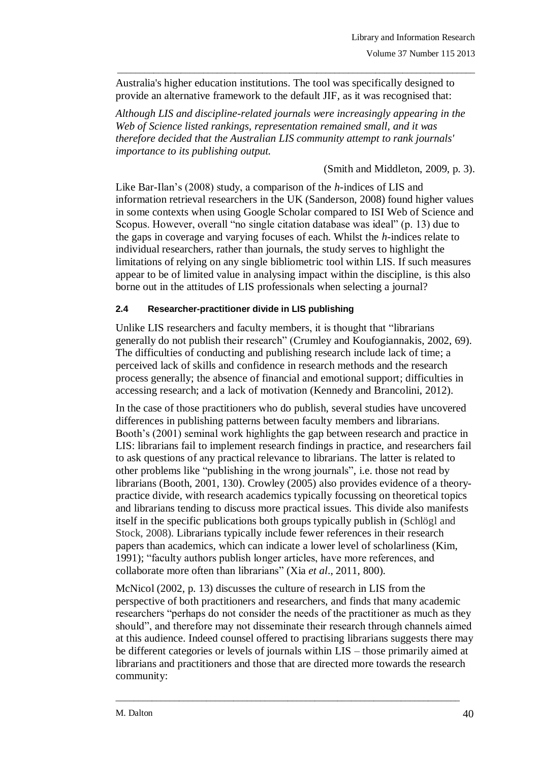Australia's higher education institutions. The tool was specifically designed to provide an alternative framework to the default JIF, as it was recognised that:

\_\_\_\_\_\_\_\_\_\_\_\_\_\_\_\_\_\_\_\_\_\_\_\_\_\_\_\_\_\_\_\_\_\_\_\_\_\_\_\_\_\_\_\_\_\_\_\_\_\_\_\_\_\_\_\_\_\_\_\_\_\_\_\_\_\_\_\_\_\_\_\_\_\_\_\_\_\_\_

*Although LIS and discipline-related journals were increasingly appearing in the Web of Science listed rankings, representation remained small, and it was therefore decided that the Australian LIS community attempt to rank journals' importance to its publishing output.*

(Smith and Middleton, 2009, p. 3).

Like Bar-Ilan"s (2008) study, a comparison of the *h*-indices of LIS and information retrieval researchers in the UK (Sanderson, 2008) found higher values in some contexts when using Google Scholar compared to ISI Web of Science and Scopus. However, overall "no single citation database was ideal" (p. 13) due to the gaps in coverage and varying focuses of each. Whilst the *h*-indices relate to individual researchers, rather than journals, the study serves to highlight the limitations of relying on any single bibliometric tool within LIS. If such measures appear to be of limited value in analysing impact within the discipline, is this also borne out in the attitudes of LIS professionals when selecting a journal?

## **2.4 Researcher-practitioner divide in LIS publishing**

Unlike LIS researchers and faculty members, it is thought that "librarians generally do not publish their research" (Crumley and Koufogiannakis, 2002, 69). The difficulties of conducting and publishing research include lack of time; a perceived lack of skills and confidence in research methods and the research process generally; the absence of financial and emotional support; difficulties in accessing research; and a lack of motivation (Kennedy and Brancolini, 2012).

In the case of those practitioners who do publish, several studies have uncovered differences in publishing patterns between faculty members and librarians. Booth"s (2001) seminal work highlights the gap between research and practice in LIS: librarians fail to implement research findings in practice, and researchers fail to ask questions of any practical relevance to librarians. The latter is related to other problems like "publishing in the wrong journals", i.e. those not read by librarians (Booth, 2001, 130). Crowley (2005) also provides evidence of a theorypractice divide, with research academics typically focussing on theoretical topics and librarians tending to discuss more practical issues. This divide also manifests itself in the specific publications both groups typically publish in (Schlögl and Stock, 2008). Librarians typically include fewer references in their research papers than academics, which can indicate a lower level of scholarliness (Kim, 1991); "faculty authors publish longer articles, have more references, and collaborate more often than librarians" (Xia *et al*., 2011, 800).

McNicol (2002, p. 13) discusses the culture of research in LIS from the perspective of both practitioners and researchers, and finds that many academic researchers "perhaps do not consider the needs of the practitioner as much as they should", and therefore may not disseminate their research through channels aimed at this audience. Indeed counsel offered to practising librarians suggests there may be different categories or levels of journals within LIS – those primarily aimed at librarians and practitioners and those that are directed more towards the research community: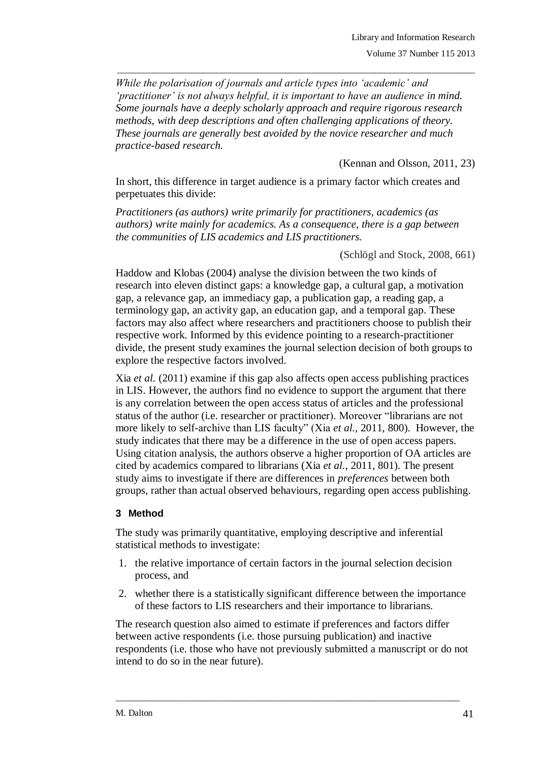*While the polarisation of journals and article types into 'academic' and 'practitioner' is not always helpful, it is important to have an audience in mind. Some journals have a deeply scholarly approach and require rigorous research methods, with deep descriptions and often challenging applications of theory. These journals are generally best avoided by the novice researcher and much practice-based research.* 

\_\_\_\_\_\_\_\_\_\_\_\_\_\_\_\_\_\_\_\_\_\_\_\_\_\_\_\_\_\_\_\_\_\_\_\_\_\_\_\_\_\_\_\_\_\_\_\_\_\_\_\_\_\_\_\_\_\_\_\_\_\_\_\_\_\_\_\_\_\_\_\_\_\_\_\_\_\_\_

(Kennan and Olsson, 2011, 23)

In short, this difference in target audience is a primary factor which creates and perpetuates this divide:

*Practitioners (as authors) write primarily for practitioners, academics (as authors) write mainly for academics. As a consequence, there is a gap between the communities of LIS academics and LIS practitioners.*

(Schlögl and Stock, 2008, 661)

Haddow and Klobas (2004) analyse the division between the two kinds of research into eleven distinct gaps: a knowledge gap, a cultural gap, a motivation gap, a relevance gap, an immediacy gap, a publication gap, a reading gap, a terminology gap, an activity gap, an education gap, and a temporal gap. These factors may also affect where researchers and practitioners choose to publish their respective work. Informed by this evidence pointing to a research-practitioner divide, the present study examines the journal selection decision of both groups to explore the respective factors involved.

Xia *et al.* (2011) examine if this gap also affects open access publishing practices in LIS. However, the authors find no evidence to support the argument that there is any correlation between the open access status of articles and the professional status of the author (i.e. researcher or practitioner). Moreover "librarians are not more likely to self-archive than LIS faculty" (Xia *et al.*, 2011, 800). However, the study indicates that there may be a difference in the use of open access papers. Using citation analysis, the authors observe a higher proportion of OA articles are cited by academics compared to librarians (Xia *et al.*, 2011, 801). The present study aims to investigate if there are differences in *preferences* between both groups, rather than actual observed behaviours, regarding open access publishing.

## **3 Method**

The study was primarily quantitative, employing descriptive and inferential statistical methods to investigate:

- 1. the relative importance of certain factors in the journal selection decision process, and
- 2. whether there is a statistically significant difference between the importance of these factors to LIS researchers and their importance to librarians.

The research question also aimed to estimate if preferences and factors differ between active respondents (i.e. those pursuing publication) and inactive respondents (i.e. those who have not previously submitted a manuscript or do not intend to do so in the near future).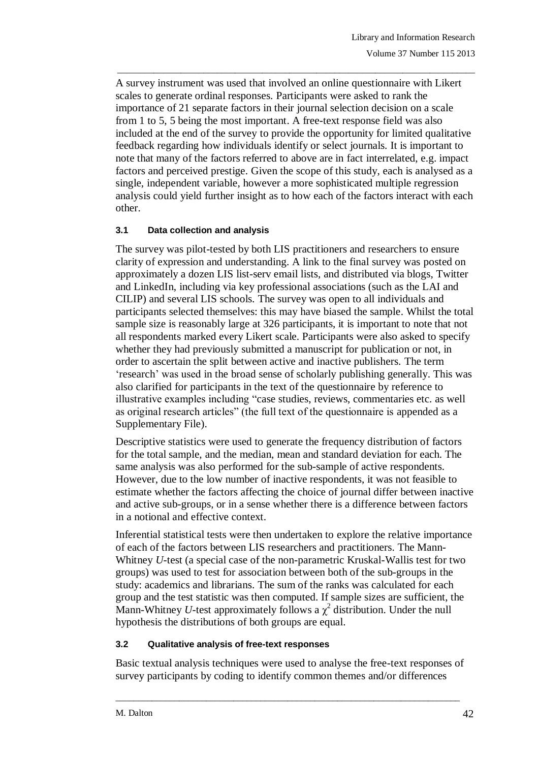A survey instrument was used that involved an online questionnaire with Likert scales to generate ordinal responses. Participants were asked to rank the importance of 21 separate factors in their journal selection decision on a scale from 1 to 5, 5 being the most important. A free-text response field was also included at the end of the survey to provide the opportunity for limited qualitative feedback regarding how individuals identify or select journals. It is important to note that many of the factors referred to above are in fact interrelated, e.g. impact factors and perceived prestige. Given the scope of this study, each is analysed as a single, independent variable, however a more sophisticated multiple regression analysis could yield further insight as to how each of the factors interact with each other.

\_\_\_\_\_\_\_\_\_\_\_\_\_\_\_\_\_\_\_\_\_\_\_\_\_\_\_\_\_\_\_\_\_\_\_\_\_\_\_\_\_\_\_\_\_\_\_\_\_\_\_\_\_\_\_\_\_\_\_\_\_\_\_\_\_\_\_\_\_\_\_\_\_\_\_\_\_\_\_

## **3.1 Data collection and analysis**

The survey was pilot-tested by both LIS practitioners and researchers to ensure clarity of expression and understanding. A link to the final survey was posted on approximately a dozen LIS list-serv email lists, and distributed via blogs, Twitter and LinkedIn, including via key professional associations (such as the LAI and CILIP) and several LIS schools. The survey was open to all individuals and participants selected themselves: this may have biased the sample. Whilst the total sample size is reasonably large at 326 participants, it is important to note that not all respondents marked every Likert scale. Participants were also asked to specify whether they had previously submitted a manuscript for publication or not, in order to ascertain the split between active and inactive publishers. The term "research" was used in the broad sense of scholarly publishing generally. This was also clarified for participants in the text of the questionnaire by reference to illustrative examples including "case studies, reviews, commentaries etc. as well as original research articles" (the full text of the questionnaire is appended as a Supplementary File).

Descriptive statistics were used to generate the frequency distribution of factors for the total sample, and the median, mean and standard deviation for each. The same analysis was also performed for the sub-sample of active respondents. However, due to the low number of inactive respondents, it was not feasible to estimate whether the factors affecting the choice of journal differ between inactive and active sub-groups, or in a sense whether there is a difference between factors in a notional and effective context.

Inferential statistical tests were then undertaken to explore the relative importance of each of the factors between LIS researchers and practitioners. The Mann-Whitney *U*-test (a special case of the non-parametric Kruskal-Wallis test for two groups) was used to test for association between both of the sub-groups in the study: academics and librarians. The sum of the ranks was calculated for each group and the test statistic was then computed. If sample sizes are sufficient, the Mann-Whitney *U*-test approximately follows a  $\chi^2$  distribution. Under the null hypothesis the distributions of both groups are equal.

#### **3.2 Qualitative analysis of free-text responses**

Basic textual analysis techniques were used to analyse the free-text responses of survey participants by coding to identify common themes and/or differences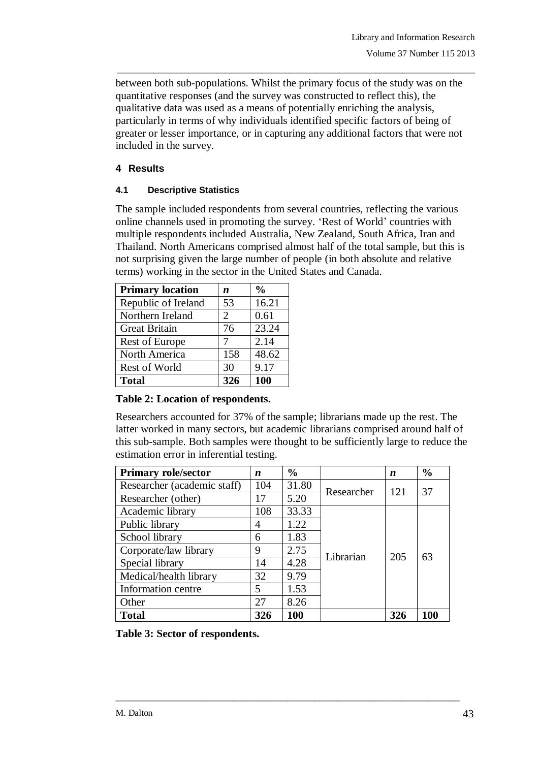between both sub-populations. Whilst the primary focus of the study was on the quantitative responses (and the survey was constructed to reflect this), the qualitative data was used as a means of potentially enriching the analysis, particularly in terms of why individuals identified specific factors of being of greater or lesser importance, or in capturing any additional factors that were not included in the survey.

\_\_\_\_\_\_\_\_\_\_\_\_\_\_\_\_\_\_\_\_\_\_\_\_\_\_\_\_\_\_\_\_\_\_\_\_\_\_\_\_\_\_\_\_\_\_\_\_\_\_\_\_\_\_\_\_\_\_\_\_\_\_\_\_\_\_\_\_\_\_\_\_\_\_\_\_\_\_\_

## **4 Results**

## **4.1 Descriptive Statistics**

The sample included respondents from several countries, reflecting the various online channels used in promoting the survey. "Rest of World" countries with multiple respondents included Australia, New Zealand, South Africa, Iran and Thailand. North Americans comprised almost half of the total sample, but this is not surprising given the large number of people (in both absolute and relative terms) working in the sector in the United States and Canada.

| <b>Primary location</b> | n   | $\frac{0}{0}$ |
|-------------------------|-----|---------------|
| Republic of Ireland     | 53  | 16.21         |
| Northern Ireland        | 2   | 0.61          |
| <b>Great Britain</b>    | 76  | 23.24         |
| <b>Rest of Europe</b>   | 7   | 2.14          |
| North America           | 158 | 48.62         |
| Rest of World           | 30  | 9.17          |
| <b>Total</b>            | 326 | 100           |

## **Table 2: Location of respondents.**

Researchers accounted for 37% of the sample; librarians made up the rest. The latter worked in many sectors, but academic librarians comprised around half of this sub-sample. Both samples were thought to be sufficiently large to reduce the estimation error in inferential testing.

| <b>Primary role/sector</b>  | n   | $\frac{0}{0}$ |            | n   | $\frac{0}{0}$ |
|-----------------------------|-----|---------------|------------|-----|---------------|
| Researcher (academic staff) | 104 | 31.80         | Researcher | 121 | 37            |
| Researcher (other)          | 17  | 5.20          |            |     |               |
| Academic library            | 108 | 33.33         |            | 205 | 63            |
| Public library              | 4   | 1.22          |            |     |               |
| School library              | 6   | 1.83          |            |     |               |
| Corporate/law library       | 9   | 2.75          | Librarian  |     |               |
| Special library             | 14  | 4.28          |            |     |               |
| Medical/health library      | 32  | 9.79          |            |     |               |
| Information centre          | 5   | 1.53          |            |     |               |
| Other                       | 27  | 8.26          |            |     |               |
| <b>Total</b>                | 326 | 100           |            | 326 | 100           |

**Table 3: Sector of respondents.**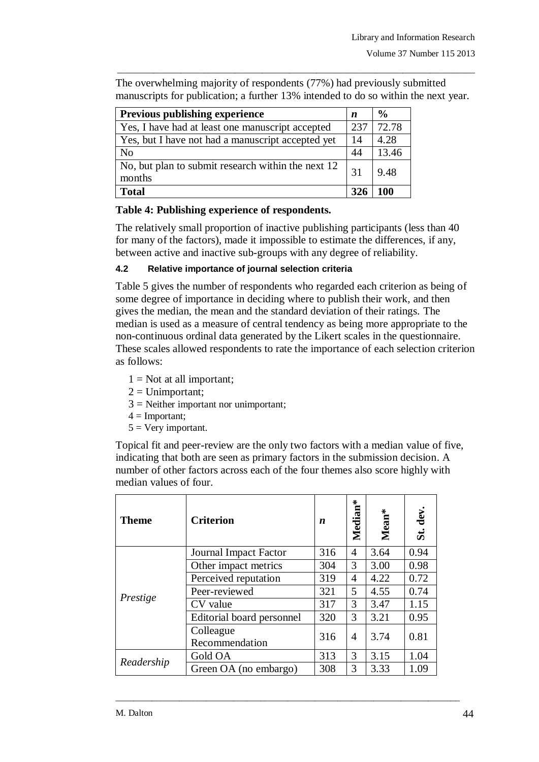The overwhelming majority of respondents (77%) had previously submitted manuscripts for publication; a further 13% intended to do so within the next year.

\_\_\_\_\_\_\_\_\_\_\_\_\_\_\_\_\_\_\_\_\_\_\_\_\_\_\_\_\_\_\_\_\_\_\_\_\_\_\_\_\_\_\_\_\_\_\_\_\_\_\_\_\_\_\_\_\_\_\_\_\_\_\_\_\_\_\_\_\_\_\_\_\_\_\_\_\_\_\_

| <b>Previous publishing experience</b>                        | n   | $\frac{0}{0}$ |
|--------------------------------------------------------------|-----|---------------|
| Yes, I have had at least one manuscript accepted             | 237 | 72.78         |
| Yes, but I have not had a manuscript accepted yet            | 14  | 4.28          |
| N <sub>o</sub>                                               | 44  | 13.46         |
| No, but plan to submit research within the next 12<br>months | 31  | 9.48          |
| <b>Total</b>                                                 | 326 | 100           |

## **Table 4: Publishing experience of respondents.**

The relatively small proportion of inactive publishing participants (less than 40 for many of the factors), made it impossible to estimate the differences, if any, between active and inactive sub-groups with any degree of reliability.

## **4.2 Relative importance of journal selection criteria**

Table 5 gives the number of respondents who regarded each criterion as being of some degree of importance in deciding where to publish their work, and then gives the median, the mean and the standard deviation of their ratings. The median is used as a measure of central tendency as being more appropriate to the non-continuous ordinal data generated by the Likert scales in the questionnaire. These scales allowed respondents to rate the importance of each selection criterion as follows:

- $1 = Not$  at all important;
- $2 =$  Unimportant:
- $3$  = Neither important nor unimportant;
- $4 =$ Important;
- $5 =$  Very important.

Topical fit and peer-review are the only two factors with a median value of five, indicating that both are seen as primary factors in the submission decision. A number of other factors across each of the four themes also score highly with median values of four.

| <b>Theme</b> | <b>Criterion</b>            | n   | ∗<br>Median | ÷.<br>Mean | St. dev |
|--------------|-----------------------------|-----|-------------|------------|---------|
|              | Journal Impact Factor       | 316 | 4           | 3.64       | 0.94    |
|              | Other impact metrics        | 304 | 3           | 3.00       | 0.98    |
|              | Perceived reputation        | 319 | 4           | 4.22       | 0.72    |
|              | Peer-reviewed               | 321 | 5           | 4.55       | 0.74    |
| Prestige     | CV value                    | 317 | 3           | 3.47       | 1.15    |
|              | Editorial board personnel   | 320 | 3           | 3.21       | 0.95    |
|              | Colleague<br>Recommendation | 316 | 4           | 3.74       | 0.81    |
| Readership   | Gold OA                     | 313 | 3           | 3.15       | 1.04    |
|              | Green OA (no embargo)       | 308 | 3           | 3.33       | 1.09    |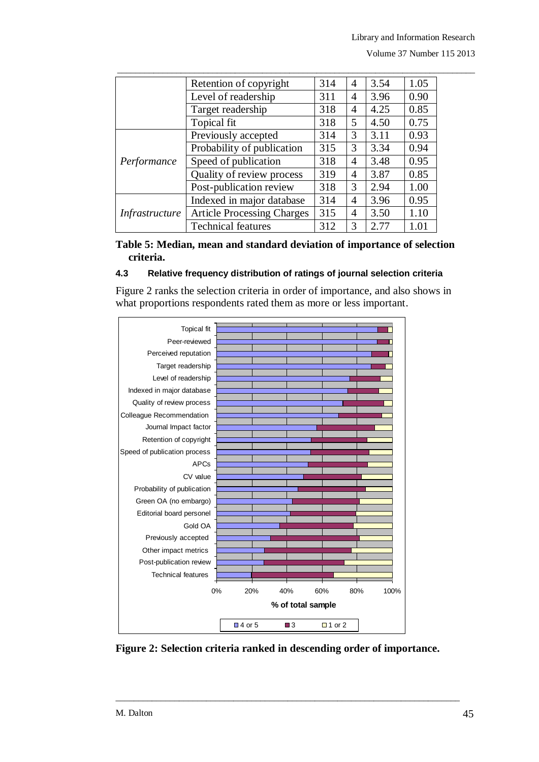|                       | Retention of copyright            | 314 | 4 | 3.54 | 1.05 |
|-----------------------|-----------------------------------|-----|---|------|------|
|                       | Level of readership               | 311 | 4 | 3.96 | 0.90 |
|                       | Target readership                 | 318 | 4 | 4.25 | 0.85 |
|                       | Topical fit                       | 318 | 5 | 4.50 | 0.75 |
|                       | Previously accepted               | 314 | 3 | 3.11 | 0.93 |
|                       | Probability of publication        | 315 | 3 | 3.34 | 0.94 |
| Performance           | Speed of publication              | 318 | 4 | 3.48 | 0.95 |
|                       | Quality of review process         | 319 | 4 | 3.87 | 0.85 |
|                       | Post-publication review           | 318 | 3 | 2.94 | 1.00 |
| <i>Infrastructure</i> | Indexed in major database         | 314 | 4 | 3.96 | 0.95 |
|                       | <b>Article Processing Charges</b> | 315 | 4 | 3.50 | 1.10 |
|                       | <b>Technical features</b>         | 312 | 3 | 2.77 | 1.01 |

**Table 5: Median, mean and standard deviation of importance of selection criteria.**

#### **4.3 Relative frequency distribution of ratings of journal selection criteria**

Figure 2 ranks the selection criteria in order of importance, and also shows in what proportions respondents rated them as more or less important.



**Figure 2: Selection criteria ranked in descending order of importance.**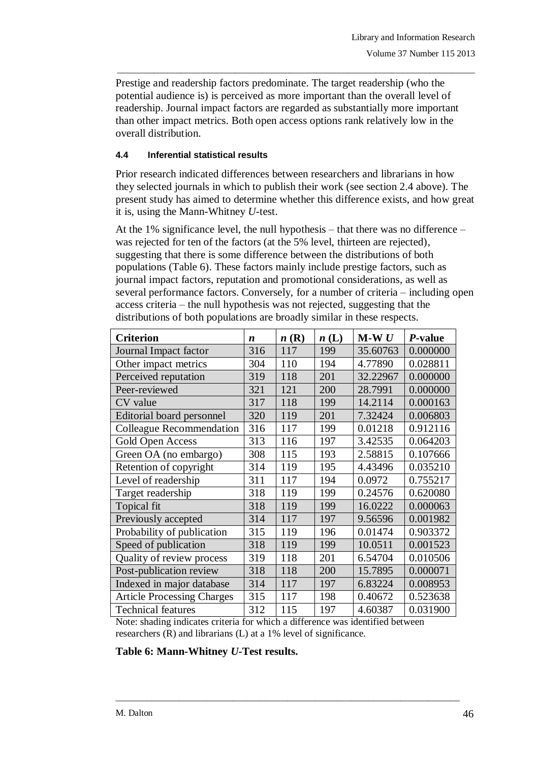Prestige and readership factors predominate. The target readership (who the potential audience is) is perceived as more important than the overall level of readership. Journal impact factors are regarded as substantially more important than other impact metrics. Both open access options rank relatively low in the overall distribution.

\_\_\_\_\_\_\_\_\_\_\_\_\_\_\_\_\_\_\_\_\_\_\_\_\_\_\_\_\_\_\_\_\_\_\_\_\_\_\_\_\_\_\_\_\_\_\_\_\_\_\_\_\_\_\_\_\_\_\_\_\_\_\_\_\_\_\_\_\_\_\_\_\_\_\_\_\_\_\_

## **4.4 Inferential statistical results**

Prior research indicated differences between researchers and librarians in how they selected journals in which to publish their work (see section 2.4 above). The present study has aimed to determine whether this difference exists, and how great it is, using the Mann-Whitney *U-*test.

At the 1% significance level, the null hypothesis – that there was no difference – was rejected for ten of the factors (at the 5% level, thirteen are rejected), suggesting that there is some difference between the distributions of both populations (Table 6). These factors mainly include prestige factors, such as journal impact factors, reputation and promotional considerations, as well as several performance factors. Conversely, for a number of criteria – including open access criteria – the null hypothesis was not rejected, suggesting that the distributions of both populations are broadly similar in these respects.

| <b>Criterion</b>                  | $\boldsymbol{n}$ | n(R) | n(L) | $M-WU$   | P-value  |
|-----------------------------------|------------------|------|------|----------|----------|
| Journal Impact factor             | 316              | 117  | 199  | 35.60763 | 0.000000 |
| Other impact metrics              | 304              | 110  | 194  | 4.77890  | 0.028811 |
| Perceived reputation              | 319              | 118  | 201  | 32.22967 | 0.000000 |
| Peer-reviewed                     | 321              | 121  | 200  | 28.7991  | 0.000000 |
| CV value                          | 317              | 118  | 199  | 14.2114  | 0.000163 |
| <b>Editorial board personnel</b>  | 320              | 119  | 201  | 7.32424  | 0.006803 |
| Colleague Recommendation          | 316              | 117  | 199  | 0.01218  | 0.912116 |
| Gold Open Access                  | 313              | 116  | 197  | 3.42535  | 0.064203 |
| Green OA (no embargo)             | 308              | 115  | 193  | 2.58815  | 0.107666 |
| Retention of copyright            | 314              | 119  | 195  | 4.43496  | 0.035210 |
| Level of readership               | 311              | 117  | 194  | 0.0972   | 0.755217 |
| Target readership                 | 318              | 119  | 199  | 0.24576  | 0.620080 |
| Topical fit                       | 318              | 119  | 199  | 16.0222  | 0.000063 |
| Previously accepted               | 314              | 117  | 197  | 9.56596  | 0.001982 |
| Probability of publication        | 315              | 119  | 196  | 0.01474  | 0.903372 |
| Speed of publication              | 318              | 119  | 199  | 10.0511  | 0.001523 |
| Quality of review process         | 319              | 118  | 201  | 6.54704  | 0.010506 |
| Post-publication review           | 318              | 118  | 200  | 15.7895  | 0.000071 |
| Indexed in major database         | 314              | 117  | 197  | 6.83224  | 0.008953 |
| <b>Article Processing Charges</b> | 315              | 117  | 198  | 0.40672  | 0.523638 |
| <b>Technical features</b>         | 312              | 115  | 197  | 4.60387  | 0.031900 |

Note: shading indicates criteria for which a difference was identified between researchers (R) and librarians (L) at a 1% level of significance.

\_\_\_\_\_\_\_\_\_\_\_\_\_\_\_\_\_\_\_\_\_\_\_\_\_\_\_\_\_\_\_\_\_\_\_\_\_\_\_\_\_\_\_\_\_\_\_\_\_\_\_\_\_\_\_\_\_\_\_\_\_\_\_\_\_\_\_\_\_\_\_\_\_\_\_\_

**Table 6: Mann-Whitney** *U***-Test results.**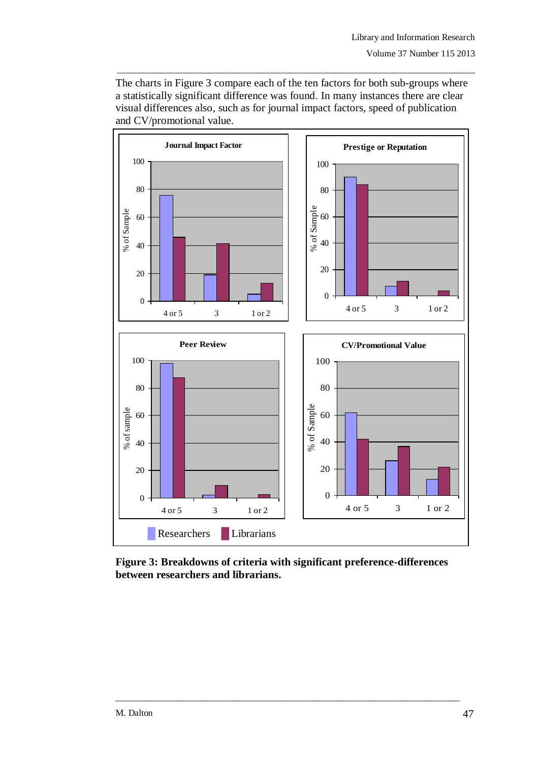The charts in Figure 3 compare each of the ten factors for both sub-groups where a statistically significant difference was found. In many instances there are clear visual differences also, such as for journal impact factors, speed of publication and CV/promotional value.

\_\_\_\_\_\_\_\_\_\_\_\_\_\_\_\_\_\_\_\_\_\_\_\_\_\_\_\_\_\_\_\_\_\_\_\_\_\_\_\_\_\_\_\_\_\_\_\_\_\_\_\_\_\_\_\_\_\_\_\_\_\_\_\_\_\_\_\_\_\_\_\_\_\_\_\_\_\_\_



**Figure 3: Breakdowns of criteria with significant preference-differences between researchers and librarians.**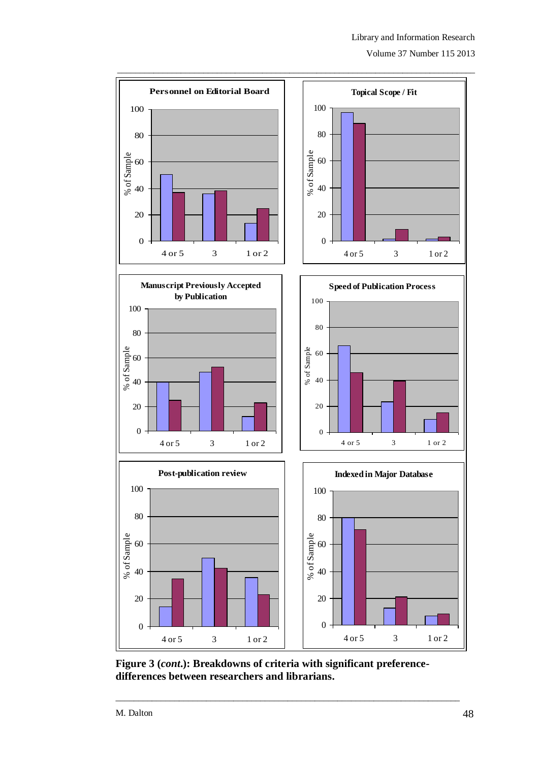Volume 37 Number 115 2013



**Figure 3 (***cont***.): Breakdowns of criteria with significant preferencedifferences between researchers and librarians.**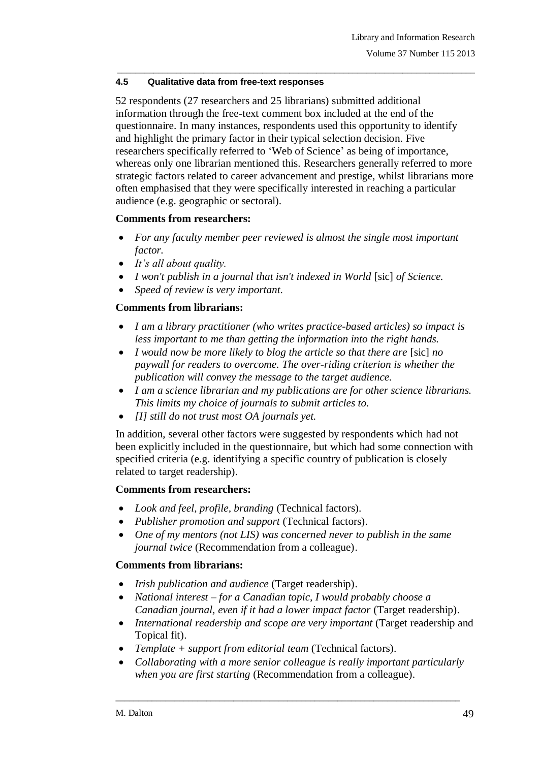## **4.5 Qualitative data from free-text responses**

52 respondents (27 researchers and 25 librarians) submitted additional information through the free-text comment box included at the end of the questionnaire. In many instances, respondents used this opportunity to identify and highlight the primary factor in their typical selection decision. Five researchers specifically referred to 'Web of Science' as being of importance, whereas only one librarian mentioned this. Researchers generally referred to more strategic factors related to career advancement and prestige, whilst librarians more often emphasised that they were specifically interested in reaching a particular audience (e.g. geographic or sectoral).

\_\_\_\_\_\_\_\_\_\_\_\_\_\_\_\_\_\_\_\_\_\_\_\_\_\_\_\_\_\_\_\_\_\_\_\_\_\_\_\_\_\_\_\_\_\_\_\_\_\_\_\_\_\_\_\_\_\_\_\_\_\_\_\_\_\_\_\_\_\_\_\_\_\_\_\_\_\_\_

## **Comments from researchers:**

- *For any faculty member peer reviewed is almost the single most important factor.*
- *It's all about quality.*
- *I won't publish in a journal that isn't indexed in World* [sic] *of Science.*
- *Speed of review is very important.*

## **Comments from librarians:**

- *I am a library practitioner (who writes practice-based articles) so impact is less important to me than getting the information into the right hands.*
- *I would now be more likely to blog the article so that there are* [sic] *no paywall for readers to overcome. The over-riding criterion is whether the publication will convey the message to the target audience.*
- *I am a science librarian and my publications are for other science librarians. This limits my choice of journals to submit articles to.*
- *[I] still do not trust most OA journals yet.*

In addition, several other factors were suggested by respondents which had not been explicitly included in the questionnaire, but which had some connection with specified criteria (e.g. identifying a specific country of publication is closely related to target readership).

## **Comments from researchers:**

- *Look and feel, profile, branding* (Technical factors).
- *Publisher promotion and support* (Technical factors).
- *One of my mentors (not LIS) was concerned never to publish in the same journal twice* (Recommendation from a colleague).

## **Comments from librarians:**

- *Irish publication and audience* (Target readership).
- *National interest – for a Canadian topic, I would probably choose a Canadian journal, even if it had a lower impact factor* (Target readership).
- *International readership and scope are very important* (Target readership and Topical fit).
- *Template + support from editorial team* (Technical factors).
- *Collaborating with a more senior colleague is really important particularly when you are first starting* (Recommendation from a colleague).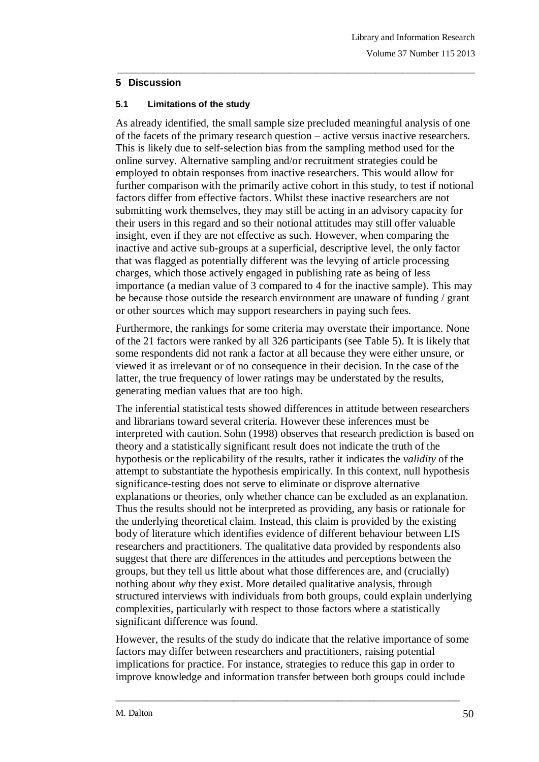## **5 Discussion**

## **5.1 Limitations of the study**

As already identified, the small sample size precluded meaningful analysis of one of the facets of the primary research question – active versus inactive researchers. This is likely due to self-selection bias from the sampling method used for the online survey. Alternative sampling and/or recruitment strategies could be employed to obtain responses from inactive researchers. This would allow for further comparison with the primarily active cohort in this study, to test if notional factors differ from effective factors. Whilst these inactive researchers are not submitting work themselves, they may still be acting in an advisory capacity for their users in this regard and so their notional attitudes may still offer valuable insight, even if they are not effective as such. However, when comparing the inactive and active sub-groups at a superficial, descriptive level, the only factor that was flagged as potentially different was the levying of article processing charges, which those actively engaged in publishing rate as being of less importance (a median value of 3 compared to 4 for the inactive sample). This may be because those outside the research environment are unaware of funding / grant or other sources which may support researchers in paying such fees.

\_\_\_\_\_\_\_\_\_\_\_\_\_\_\_\_\_\_\_\_\_\_\_\_\_\_\_\_\_\_\_\_\_\_\_\_\_\_\_\_\_\_\_\_\_\_\_\_\_\_\_\_\_\_\_\_\_\_\_\_\_\_\_\_\_\_\_\_\_\_\_\_\_\_\_\_\_\_\_

Furthermore, the rankings for some criteria may overstate their importance. None of the 21 factors were ranked by all 326 participants (see Table 5). It is likely that some respondents did not rank a factor at all because they were either unsure, or viewed it as irrelevant or of no consequence in their decision. In the case of the latter, the true frequency of lower ratings may be understated by the results, generating median values that are too high.

The inferential statistical tests showed differences in attitude between researchers and librarians toward several criteria. However these inferences must be interpreted with caution. Sohn (1998) observes that research prediction is based on theory and a statistically significant result does not indicate the truth of the hypothesis or the replicability of the results, rather it indicates the *validity* of the attempt to substantiate the hypothesis empirically. In this context, null hypothesis significance-testing does not serve to eliminate or disprove alternative explanations or theories, only whether chance can be excluded as an explanation. Thus the results should not be interpreted as providing, any basis or rationale for the underlying theoretical claim. Instead, this claim is provided by the existing body of literature which identifies evidence of different behaviour between LIS researchers and practitioners. The qualitative data provided by respondents also suggest that there are differences in the attitudes and perceptions between the groups, but they tell us little about what those differences are, and (crucially) nothing about *why* they exist. More detailed qualitative analysis, through structured interviews with individuals from both groups, could explain underlying complexities, particularly with respect to those factors where a statistically significant difference was found.

However, the results of the study do indicate that the relative importance of some factors may differ between researchers and practitioners, raising potential implications for practice. For instance, strategies to reduce this gap in order to improve knowledge and information transfer between both groups could include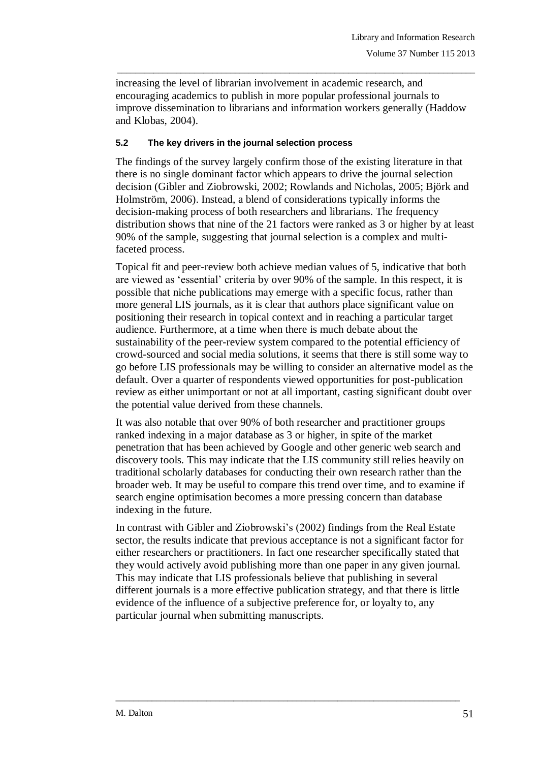increasing the level of librarian involvement in academic research, and encouraging academics to publish in more popular professional journals to improve dissemination to librarians and information workers generally (Haddow and Klobas, 2004).

\_\_\_\_\_\_\_\_\_\_\_\_\_\_\_\_\_\_\_\_\_\_\_\_\_\_\_\_\_\_\_\_\_\_\_\_\_\_\_\_\_\_\_\_\_\_\_\_\_\_\_\_\_\_\_\_\_\_\_\_\_\_\_\_\_\_\_\_\_\_\_\_\_\_\_\_\_\_\_

### **5.2 The key drivers in the journal selection process**

The findings of the survey largely confirm those of the existing literature in that there is no single dominant factor which appears to drive the journal selection decision (Gibler and Ziobrowski, 2002; Rowlands and Nicholas, 2005; Björk and Holmström, 2006). Instead, a blend of considerations typically informs the decision-making process of both researchers and librarians. The frequency distribution shows that nine of the 21 factors were ranked as 3 or higher by at least 90% of the sample, suggesting that journal selection is a complex and multifaceted process.

Topical fit and peer-review both achieve median values of 5, indicative that both are viewed as "essential" criteria by over 90% of the sample. In this respect, it is possible that niche publications may emerge with a specific focus, rather than more general LIS journals, as it is clear that authors place significant value on positioning their research in topical context and in reaching a particular target audience. Furthermore, at a time when there is much debate about the sustainability of the peer-review system compared to the potential efficiency of crowd-sourced and social media solutions, it seems that there is still some way to go before LIS professionals may be willing to consider an alternative model as the default. Over a quarter of respondents viewed opportunities for post-publication review as either unimportant or not at all important, casting significant doubt over the potential value derived from these channels.

It was also notable that over 90% of both researcher and practitioner groups ranked indexing in a major database as 3 or higher, in spite of the market penetration that has been achieved by Google and other generic web search and discovery tools. This may indicate that the LIS community still relies heavily on traditional scholarly databases for conducting their own research rather than the broader web. It may be useful to compare this trend over time, and to examine if search engine optimisation becomes a more pressing concern than database indexing in the future.

In contrast with Gibler and Ziobrowski"s (2002) findings from the Real Estate sector, the results indicate that previous acceptance is not a significant factor for either researchers or practitioners. In fact one researcher specifically stated that they would actively avoid publishing more than one paper in any given journal. This may indicate that LIS professionals believe that publishing in several different journals is a more effective publication strategy, and that there is little evidence of the influence of a subjective preference for, or loyalty to, any particular journal when submitting manuscripts.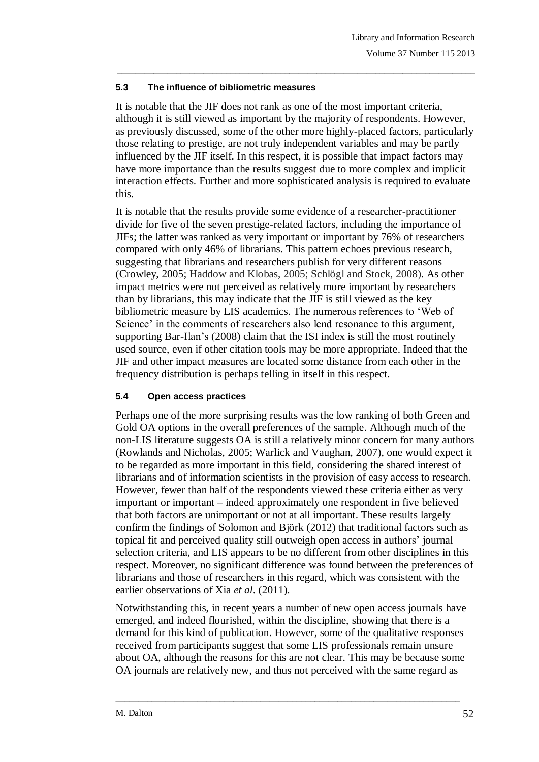## **5.3 The influence of bibliometric measures**

It is notable that the JIF does not rank as one of the most important criteria, although it is still viewed as important by the majority of respondents. However, as previously discussed, some of the other more highly-placed factors, particularly those relating to prestige, are not truly independent variables and may be partly influenced by the JIF itself. In this respect, it is possible that impact factors may have more importance than the results suggest due to more complex and implicit interaction effects. Further and more sophisticated analysis is required to evaluate this.

\_\_\_\_\_\_\_\_\_\_\_\_\_\_\_\_\_\_\_\_\_\_\_\_\_\_\_\_\_\_\_\_\_\_\_\_\_\_\_\_\_\_\_\_\_\_\_\_\_\_\_\_\_\_\_\_\_\_\_\_\_\_\_\_\_\_\_\_\_\_\_\_\_\_\_\_\_\_\_

It is notable that the results provide some evidence of a researcher-practitioner divide for five of the seven prestige-related factors, including the importance of JIFs; the latter was ranked as very important or important by 76% of researchers compared with only 46% of librarians. This pattern echoes previous research, suggesting that librarians and researchers publish for very different reasons (Crowley, 2005; Haddow and Klobas, 2005; Schlögl and Stock, 2008). As other impact metrics were not perceived as relatively more important by researchers than by librarians, this may indicate that the JIF is still viewed as the key bibliometric measure by LIS academics. The numerous references to "Web of Science' in the comments of researchers also lend resonance to this argument, supporting Bar-Ilan"s (2008) claim that the ISI index is still the most routinely used source, even if other citation tools may be more appropriate. Indeed that the JIF and other impact measures are located some distance from each other in the frequency distribution is perhaps telling in itself in this respect.

## **5.4 Open access practices**

Perhaps one of the more surprising results was the low ranking of both Green and Gold OA options in the overall preferences of the sample. Although much of the non-LIS literature suggests OA is still a relatively minor concern for many authors (Rowlands and Nicholas, 2005; Warlick and Vaughan, 2007), one would expect it to be regarded as more important in this field, considering the shared interest of librarians and of information scientists in the provision of easy access to research. However, fewer than half of the respondents viewed these criteria either as very important or important – indeed approximately one respondent in five believed that both factors are unimportant or not at all important. These results largely confirm the findings of Solomon and Björk (2012) that traditional factors such as topical fit and perceived quality still outweigh open access in authors" journal selection criteria, and LIS appears to be no different from other disciplines in this respect. Moreover, no significant difference was found between the preferences of librarians and those of researchers in this regard, which was consistent with the earlier observations of Xia *et al*. (2011).

Notwithstanding this, in recent years a number of new open access journals have emerged, and indeed flourished, within the discipline, showing that there is a demand for this kind of publication. However, some of the qualitative responses received from participants suggest that some LIS professionals remain unsure about OA, although the reasons for this are not clear. This may be because some OA journals are relatively new, and thus not perceived with the same regard as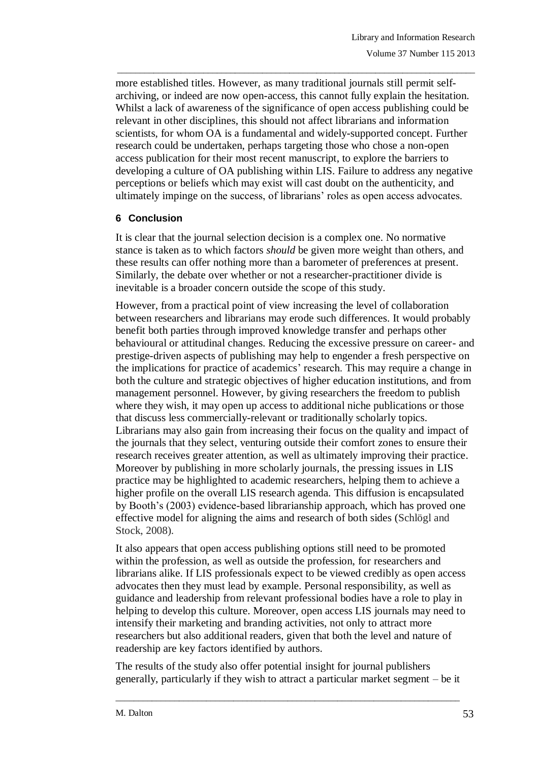more established titles. However, as many traditional journals still permit selfarchiving, or indeed are now open-access, this cannot fully explain the hesitation. Whilst a lack of awareness of the significance of open access publishing could be relevant in other disciplines, this should not affect librarians and information scientists, for whom OA is a fundamental and widely-supported concept. Further research could be undertaken, perhaps targeting those who chose a non-open access publication for their most recent manuscript, to explore the barriers to developing a culture of OA publishing within LIS. Failure to address any negative perceptions or beliefs which may exist will cast doubt on the authenticity, and ultimately impinge on the success, of librarians" roles as open access advocates.

\_\_\_\_\_\_\_\_\_\_\_\_\_\_\_\_\_\_\_\_\_\_\_\_\_\_\_\_\_\_\_\_\_\_\_\_\_\_\_\_\_\_\_\_\_\_\_\_\_\_\_\_\_\_\_\_\_\_\_\_\_\_\_\_\_\_\_\_\_\_\_\_\_\_\_\_\_\_\_

## **6 Conclusion**

It is clear that the journal selection decision is a complex one. No normative stance is taken as to which factors *should* be given more weight than others, and these results can offer nothing more than a barometer of preferences at present. Similarly, the debate over whether or not a researcher-practitioner divide is inevitable is a broader concern outside the scope of this study.

However, from a practical point of view increasing the level of collaboration between researchers and librarians may erode such differences. It would probably benefit both parties through improved knowledge transfer and perhaps other behavioural or attitudinal changes. Reducing the excessive pressure on career- and prestige-driven aspects of publishing may help to engender a fresh perspective on the implications for practice of academics" research. This may require a change in both the culture and strategic objectives of higher education institutions, and from management personnel. However, by giving researchers the freedom to publish where they wish, it may open up access to additional niche publications or those that discuss less commercially-relevant or traditionally scholarly topics. Librarians may also gain from increasing their focus on the quality and impact of the journals that they select, venturing outside their comfort zones to ensure their research receives greater attention, as well as ultimately improving their practice. Moreover by publishing in more scholarly journals, the pressing issues in LIS practice may be highlighted to academic researchers, helping them to achieve a higher profile on the overall LIS research agenda. This diffusion is encapsulated by Booth"s (2003) evidence-based librarianship approach, which has proved one effective model for aligning the aims and research of both sides (Schlögl and Stock, 2008).

It also appears that open access publishing options still need to be promoted within the profession, as well as outside the profession, for researchers and librarians alike. If LIS professionals expect to be viewed credibly as open access advocates then they must lead by example. Personal responsibility, as well as guidance and leadership from relevant professional bodies have a role to play in helping to develop this culture. Moreover, open access LIS journals may need to intensify their marketing and branding activities, not only to attract more researchers but also additional readers, given that both the level and nature of readership are key factors identified by authors.

The results of the study also offer potential insight for journal publishers generally, particularly if they wish to attract a particular market segment – be it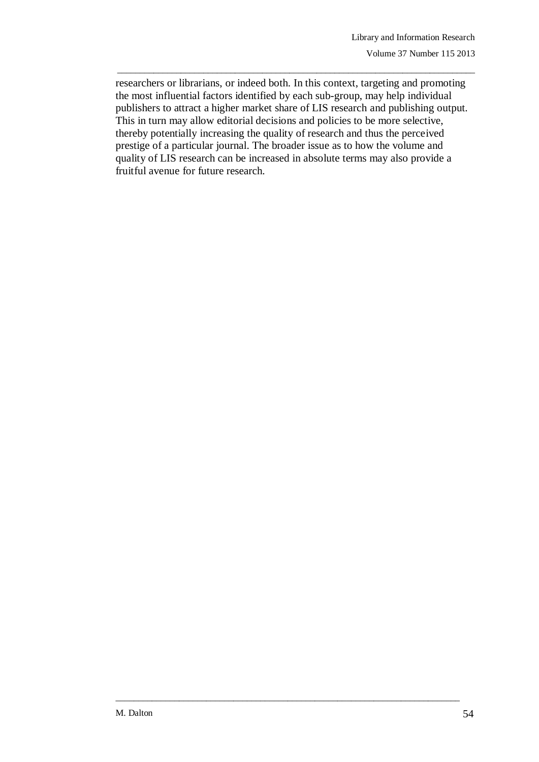researchers or librarians, or indeed both. In this context, targeting and promoting the most influential factors identified by each sub-group, may help individual publishers to attract a higher market share of LIS research and publishing output. This in turn may allow editorial decisions and policies to be more selective, thereby potentially increasing the quality of research and thus the perceived prestige of a particular journal. The broader issue as to how the volume and quality of LIS research can be increased in absolute terms may also provide a fruitful avenue for future research.

\_\_\_\_\_\_\_\_\_\_\_\_\_\_\_\_\_\_\_\_\_\_\_\_\_\_\_\_\_\_\_\_\_\_\_\_\_\_\_\_\_\_\_\_\_\_\_\_\_\_\_\_\_\_\_\_\_\_\_\_\_\_\_\_\_\_\_\_\_\_\_\_\_\_\_\_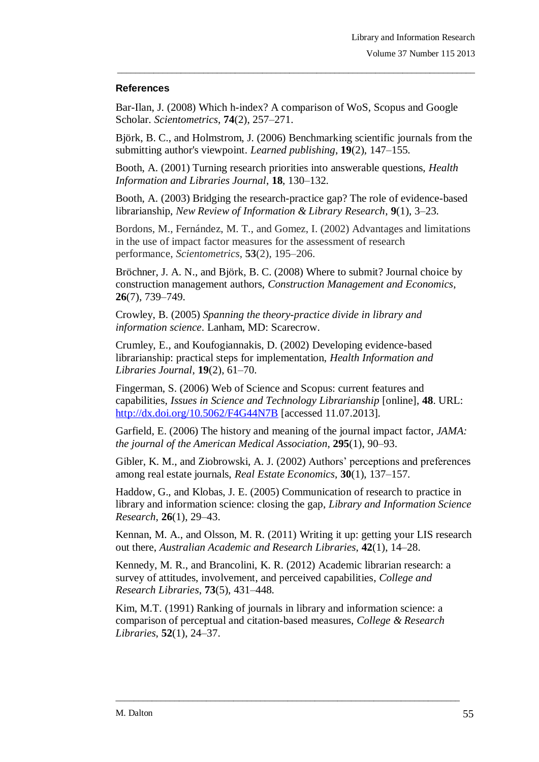## **References**

Bar-Ilan, J. (2008) Which h-index? A comparison of WoS, Scopus and Google Scholar. *Scientometrics*, **74**(2), 257–271.

Björk, B. C., and Holmstrom, J. (2006) Benchmarking scientific journals from the submitting author's viewpoint. *Learned publishing*, **19**(2), 147–155.

\_\_\_\_\_\_\_\_\_\_\_\_\_\_\_\_\_\_\_\_\_\_\_\_\_\_\_\_\_\_\_\_\_\_\_\_\_\_\_\_\_\_\_\_\_\_\_\_\_\_\_\_\_\_\_\_\_\_\_\_\_\_\_\_\_\_\_\_\_\_\_\_\_\_\_\_\_\_\_

Booth, A. (2001) Turning research priorities into answerable questions, *Health Information and Libraries Journal*, **18**, 130–132.

Booth, A. (2003) Bridging the research-practice gap? The role of evidence-based librarianship, *New Review of Information & Library Research*, **9**(1), 3–23.

Bordons, M., Fernández, M. T., and Gomez, I. (2002) Advantages and limitations in the use of impact factor measures for the assessment of research performance, *Scientometrics*, **53**(2), 195–206.

Bröchner, J. A. N., and Björk, B. C. (2008) Where to submit? Journal choice by construction management authors, *Construction Management and Economics*, **26**(7), 739–749.

Crowley, B. (2005) *Spanning the theory-practice divide in library and information science*. Lanham, MD: Scarecrow.

Crumley, E., and Koufogiannakis, D. (2002) Developing evidence-based librarianship: practical steps for implementation, *Health Information and Libraries Journal*, **19**(2), 61–70.

Fingerman, S. (2006) Web of Science and Scopus: current features and capabilities, *Issues in Science and Technology Librarianship* [online], **48**. URL: <http://dx.doi.org/10.5062/F4G44N7B> [accessed 11.07.2013].

Garfield, E. (2006) The history and meaning of the journal impact factor, *JAMA: the journal of the American Medical Association*, **295**(1), 90–93.

Gibler, K. M., and Ziobrowski, A. J. (2002) Authors" perceptions and preferences among real estate journals, *Real Estate Economics*, **30**(1), 137–157.

Haddow, G., and Klobas, J. E. (2005) Communication of research to practice in library and information science: closing the gap, *Library and Information Science Research*, **26**(1), 29–43.

Kennan, M. A., and Olsson, M. R. (2011) Writing it up: getting your LIS research out there, *Australian Academic and Research Libraries*, **42**(1), 14–28.

Kennedy, M. R., and Brancolini, K. R. (2012) Academic librarian research: a survey of attitudes, involvement, and perceived capabilities, *College and Research Libraries*, **73**(5), 431–448.

Kim, M.T. (1991) Ranking of journals in library and information science: a comparison of perceptual and citation-based measures, *College & Research Libraries*, **52**(1), 24–37.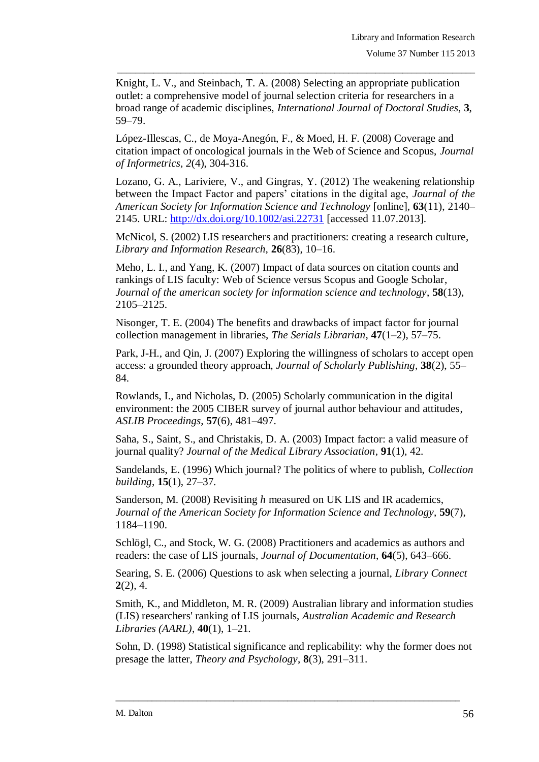Knight, L. V., and Steinbach, T. A. (2008) Selecting an appropriate publication outlet: a comprehensive model of journal selection criteria for researchers in a broad range of academic disciplines, *International Journal of Doctoral Studies*, **3**, 59–79.

\_\_\_\_\_\_\_\_\_\_\_\_\_\_\_\_\_\_\_\_\_\_\_\_\_\_\_\_\_\_\_\_\_\_\_\_\_\_\_\_\_\_\_\_\_\_\_\_\_\_\_\_\_\_\_\_\_\_\_\_\_\_\_\_\_\_\_\_\_\_\_\_\_\_\_\_\_\_\_

López-Illescas, C., de Moya-Anegón, F., & Moed, H. F. (2008) Coverage and citation impact of oncological journals in the Web of Science and Scopus, *Journal of Informetrics*, *2*(4), 304-316.

Lozano, G. A., Lariviere, V., and Gingras, Y. (2012) The weakening relationship between the Impact Factor and papers" citations in the digital age, *Journal of the American Society for Information Science and Technology* [online], **63**(11), 2140– 2145. URL: <http://dx.doi.org/10.1002/asi.22731> [accessed 11.07.2013].

McNicol, S. (2002) LIS researchers and practitioners: creating a research culture, *Library and Information Research*, **26**(83), 10–16.

Meho, L. I., and Yang, K. (2007) Impact of data sources on citation counts and rankings of LIS faculty: Web of Science versus Scopus and Google Scholar, *Journal of the american society for information science and technology*, **58**(13), 2105–2125.

Nisonger, T. E. (2004) The benefits and drawbacks of impact factor for journal collection management in libraries, *The Serials Librarian*, **47**(1–2), 57–75.

Park, J-H., and Qin, J. (2007) Exploring the willingness of scholars to accept open access: a grounded theory approach, *Journal of Scholarly Publishing*, **38**(2), 55– 84.

Rowlands, I., and Nicholas, D. (2005) Scholarly communication in the digital environment: the 2005 CIBER survey of journal author behaviour and attitudes, *ASLIB Proceedings*, **57**(6), 481–497.

Saha, S., Saint, S., and Christakis, D. A. (2003) Impact factor: a valid measure of journal quality? *Journal of the Medical Library Association*, **91**(1), 42.

Sandelands, E. (1996) Which journal? The politics of where to publish, *Collection building*, **15**(1), 27–37.

Sanderson, M. (2008) Revisiting *h* measured on UK LIS and IR academics, *Journal of the American Society for Information Science and Technology*, **59**(7), 1184–1190.

Schlögl, C., and Stock, W. G. (2008) Practitioners and academics as authors and readers: the case of LIS journals, *Journal of Documentation*, **64**(5), 643–666.

Searing, S. E. (2006) Questions to ask when selecting a journal, *Library Connect* **2**(2), 4.

Smith, K., and Middleton, M. R. (2009) Australian library and information studies (LIS) researchers' ranking of LIS journals, *Australian Academic and Research Libraries (AARL)*, **40**(1), 1–21.

Sohn, D. (1998) Statistical significance and replicability: why the former does not presage the latter, *Theory and Psychology*, **8**(3), 291–311.